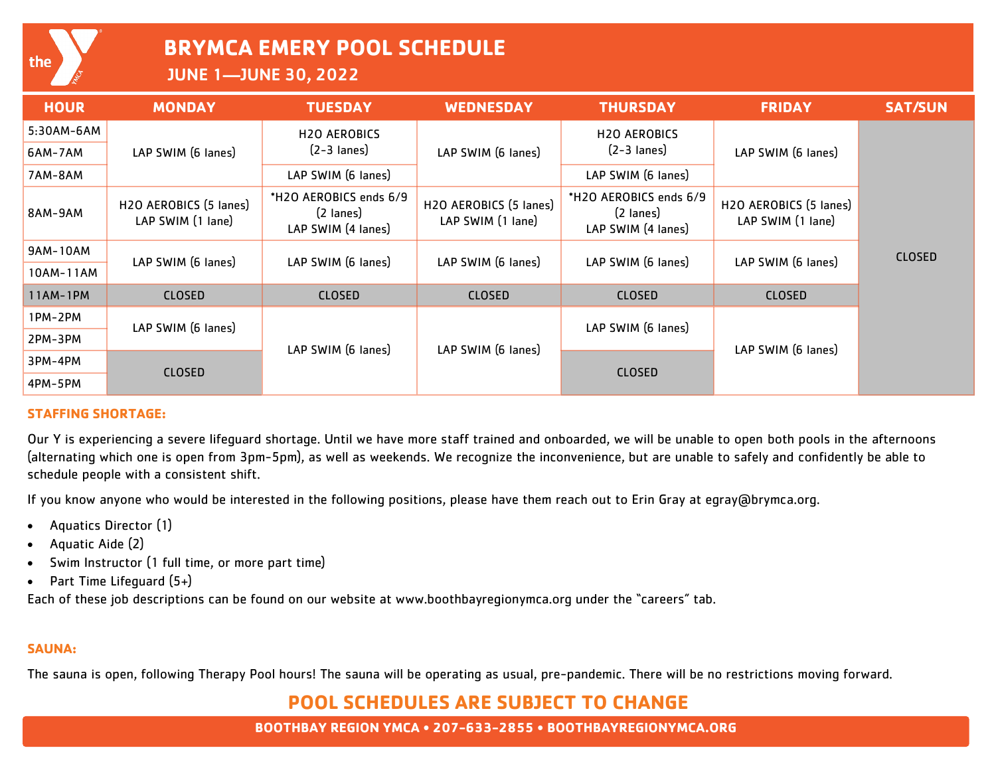**BRYMCA EMERY POOL SCHEDULE**

JUNE 1—JUNE 30, 2022

| <b>HOUR</b> | <b>MONDAY</b>                               | <b>TUESDAY</b>                                            | <b>WEDNESDAY</b>                            | <b>THURSDAY</b>                                                     | <b>FRIDAY</b>                               | <b>SAT/SUN</b> |
|-------------|---------------------------------------------|-----------------------------------------------------------|---------------------------------------------|---------------------------------------------------------------------|---------------------------------------------|----------------|
| 5:30AM-6AM  | LAP SWIM (6 lanes)                          | <b>H2O AEROBICS</b><br>$(2-3$ lanes)                      | LAP SWIM (6 lanes)                          | <b>H2O AEROBICS</b>                                                 | LAP SWIM (6 lanes)                          |                |
| 6AM-7AM     |                                             |                                                           |                                             | $(2-3$ lanes)                                                       |                                             |                |
| 7AM-8AM     |                                             | LAP SWIM (6 lanes)                                        |                                             | LAP SWIM (6 lanes)                                                  |                                             |                |
| 8AM-9AM     | H2O AEROBICS (5 lanes)<br>LAP SWIM (1 lane) | *H2O AEROBICS ends 6/9<br>(2 lanes)<br>LAP SWIM (4 lanes) | H2O AEROBICS (5 lanes)<br>LAP SWIM (1 lane) | *H2O AEROBICS ends 6/9<br>$(2 \text{ lanes})$<br>LAP SWIM (4 lanes) | H2O AEROBICS (5 lanes)<br>LAP SWIM (1 lane) |                |
| 9AM-10AM    | LAP SWIM (6 lanes)                          | LAP SWIM (6 lanes)                                        | LAP SWIM (6 lanes)                          | LAP SWIM (6 lanes)                                                  | LAP SWIM (6 lanes)                          | <b>CLOSED</b>  |
| 10AM-11AM   |                                             |                                                           |                                             |                                                                     |                                             |                |
| 11AM-1PM    | <b>CLOSED</b>                               | <b>CLOSED</b>                                             | <b>CLOSED</b>                               | <b>CLOSED</b>                                                       | <b>CLOSED</b>                               |                |
| 1PM-2PM     | LAP SWIM (6 lanes)                          | LAP SWIM (6 lanes)                                        | LAP SWIM (6 lanes)                          | LAP SWIM (6 lanes)                                                  | LAP SWIM (6 lanes)                          |                |
| 2PM-3PM     |                                             |                                                           |                                             |                                                                     |                                             |                |
| 3PM-4PM     | <b>CLOSED</b>                               |                                                           |                                             | <b>CLOSED</b>                                                       |                                             |                |
| 4PM-5PM     |                                             |                                                           |                                             |                                                                     |                                             |                |

#### **STAFFING SHORTAGE:**

Our Y is experiencing a severe lifeguard shortage. Until we have more staff trained and onboarded, we will be unable to open both pools in the afternoons (alternating which one is open from 3pm-5pm), as well as weekends. We recognize the inconvenience, but are unable to safely and confidently be able to schedule people with a consistent shift.

If you know anyone who would be interested in the following positions, please have them reach out to Erin Gray at egray@brymca.org.

- Aquatics Director (1)
- Aquatic Aide (2)
- Swim Instructor (1 full time, or more part time)
- Part Time Lifequard (5+)

Each of these job descriptions can be found on our website at www.boothbayregionymca.org under the "careers" tab.

### **SAUNA:**

The sauna is open, following Therapy Pool hours! The sauna will be operating as usual, pre-pandemic. There will be no restrictions moving forward.

### **POOL SCHEDULES ARE SUBJECT TO CHANGE**

**BOOTHBAY REGION YMCA • 207-633-2855 • BOOTHBAYREGIONYMCA.ORG**